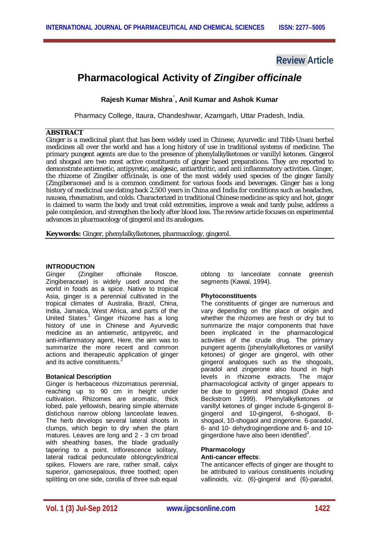## **Review Article**

# **Pharmacological Activity of** *Zingiber officinale*

**Rajesh Kumar Mishra**٭ **, Anil Kumar and Ashok Kumar** 

Pharmacy College, Itaura, Chandeshwar, Azamgarh, Uttar Pradesh, India.

## **ABSTRACT**

Ginger is a medicinal plant that has been widely used in Chinese, Ayurvedic and Tibb-Unani herbal medicines all over the world and has a long history of use in traditional systems of medicine. The primary pungent agents are due to the presence of phenylalkylketones or vanillyl ketones. Gingerol and shogaol are two most active constituents of ginger based preparations. They are reported to demonstrate antiemetic, antipyretic, analgesic, antiarthritic, and anti inflammatory activities. Ginger, the rhizome of *Zingiber officinale*, is one of the most widely used species of the ginger family (*Zingiberaceae*) and is a common condiment for various foods and beverages. Ginger has a long history of medicinal use dating back 2,500 years in China and India for conditions such as headaches, nausea, rheumatism, and colds. Characterized in traditional Chinese medicine as spicy and hot, ginger is claimed to warm the body and treat cold extremities, improve a weak and tardy pulse, address a pale complexion, and strengthen the body after blood loss. The review article focuses on experimental advances in pharmacology of gingerol and its analogues.

**Keywords:** Ginger, phenylalkylketones, pharmacology, gingerol.

#### **INTRODUCTION**

Ginger (Zingiber officinale Roscoe, Zingiberaceae) is widely used around the world in foods as a spice. Native to tropical Asia, ginger is a perennial cultivated in the tropical climates of Australia, Brazil, China, India, Jamaica, West Africa, and parts of the United States.<sup>1</sup> Ginger rhizome has a long history of use in Chinese and Ayurvedic medicine as an antiemetic, antipyretic, and anti-inflammatory agent, Here, the aim was to summarize the more recent and common actions and therapeutic application of ginger and its active constituents.<sup>2</sup>

#### **Botanical Description**

Ginger is herbaceous rhizomatous perennial, reaching up to 90 cm in height under cultivation. Rhizomes are aromatic, thick lobed, pale yellowish, bearing simple alternate distichous narrow oblong lanceolate leaves. The herb develops several lateral shoots in clumps, which begin to dry when the plant matures. Leaves are long and 2 - 3 cm broad with sheathing bases, the blade gradually tapering to a point. Inflorescence solitary, lateral radical pedunculate oblongcylindrical spikes. Flowers are rare, rather small, calyx superior, gamosepalous, three toothed; open splitting on one side, corolla of three sub equal

oblong to lanceolate connate greenish segments (Kawai, 1994).

#### **Phytoconstituents**

The constituents of ginger are numerous and vary depending on the place of origin and whether the rhizomes are fresh or dry but to summarize the major components that have been implicated in the pharmacological activities of the crude drug. The primary pungent agents (phenylalkylketones or vanillyl ketones) of ginger are gingerol, with other gingerol analogues such as the shogoals, paradol and zingerone also found in high levels in rhizome extracts. The major pharmacological activity of ginger appears to be due to gingerol and shogaol (Duke and Beckstrom 1999). Phenylalkylketones or vanillyl ketones of ginger include 6-gingerol 8 gingerol and 10-gingerol, 6-shogaol, 8 shogaol, 10-shogaol and zingerone. 6-paradol, 6- and 10- dehydrogingerdione and 6- and 10 gingerdione have also been identified $3$ .

#### **Pharmacology Anti-cancer effects**:

The anticancer effects of ginger are thought to be attributed to various constituents including vallinoids, viz. (6)-gingerol and (6)-paradol,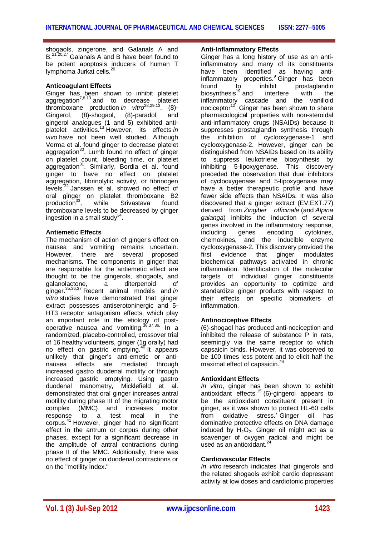shogaols, zingerone, and Galanals A and B.<sup>21,20,27</sup> Galanals A and B have been found to be potent apoptosis inducers of human T lymphoma Jurkat cells.<sup>20</sup>

## **Anticoagulant Effects**

Ginger has been shown to inhibit platelet aggregation<sup>7,8,13</sup> and to decrease platelet thromboxane production *in vitro*28,29,13. (8) thromboxane production in vitro<sup>28,29,13</sup>. (8)-<br>Gingerol, (8)-shogaol, (8)-paradol, and gingerol analogues (1 and 5) exhibited antiplatelet activities.<sup>13</sup> However, its effects *in vivo* have not been well studied. Although Verma et al. found ginger to decrease platelet aggregation<sup>30</sup>, Lumb found no effect of ginger on platelet count, bleeding time, or platelet aggregation<sup>31</sup>. Similarly, Bordia et al. found ginger to have no effect on platelet aggregation, fibrinolytic activity, or fibrinogen levels.<sup>32</sup> Janssen et al. showed no effect of oral ginger on platelet thromboxane B2 production<sup>33</sup>, while Srivastava found thromboxane levels to be decreased by ginger ingestion in a small study $^{34}$ .

## **Antiemetic Effects**

The mechanism of action of ginger's effect on nausea and vomiting remains uncertain. However, there are several proposed mechanisms. The components in ginger that are responsible for the antiemetic effect are thought to be the gingerols, shogaols, and galanolactone, a diterpenoid of ginger.35,36,37 Recent animal models and *in vitro* studies have demonstrated that ginger extract possesses antiserotoninergic and 5- HT3 receptor antagonism effects, which play an important role in the etiology of postoperative nausea and vomiting.<sup>38,37,36,</sup> In a randomized, placebo-controlled, crossover trial of 16 healthy volunteers, ginger (1g orally) had no effect on gastric emptying.<sup>40</sup> It appears unlikely that ginger's anti-emetic or antinausea effects are mediated through increased gastro duodenal motility or through increased gastric emptying. Using gastro duodenal manometry, Micklefield et al. demonstrated that oral ginger increases antral motility during phase III of the migrating motor complex (MMC) and increases motor response to a test meal in the corpus.<sup>41</sup> However, ginger had no significant effect in the antrum or corpus during other phases, except for a significant decrease in the amplitude of antral contractions during phase II of the MMC. Additionally, there was no effect of ginger on duodenal contractions or on the "motility index."

#### **Anti-Inflammatory Effects**

Ginger has a long history of use as an antiinflammatory and many of its constituents have been identified as having antiinflammatory properties.<sup>9</sup> Ginger has been found to inhibit prostaglandin<br>biosynthesis<sup>19</sup> and interfere with the  $\frac{10}{2}$  biosynthesis<sup>19</sup> and inflammatory cascade and the vanilloid nociceptor<sup>12</sup>. Ginger has been shown to share pharmacological properties with non-steroidal anti-inflammatory drugs (NSAIDs) because it suppresses prostaglandin synthesis through the inhibition of cyclooxygenase-1 and cyclooxygenase-2. However, ginger can be distinguished from NSAIDs based on its ability to suppress leukotriene biosynthesis by inhibiting 5-lipoxygenase. This discovery preceded the observation that dual inhibitors of cyclooxygenase and 5-lipoxygenase may have a better therapeutic profile and have fewer side effects than NSAIDs. It was also discovered that a ginger extract (EV.EXT.77) derived from *Zingiber officinale* (and *Alpina galanga*) inhibits the induction of several genes involved in the inflammatory response, including genes encoding cytokines,  $chemical$ chemokines, and the inducible  $enzvme$ cyclooxygenase-2. This discovery provided the first evidence that ginger modulates biochemical pathways activated in chronic inflammation. Identification of the molecular targets of individual ginger constituents provides an opportunity to optimize and standardize ginger products with respect to their effects on specific biomarkers of inflammation.

## **Antinociceptive Effects**

(6)-shogaol has produced anti-nociception and inhibited the release of substance P in rats, seemingly via the same receptor to which capsaicin binds. However, it was observed to be 100 times less potent and to elicit half the maximal effect of capsaicin.<sup>24</sup>

#### **Antioxidant Effects**

*In vitro*, ginger has been shown to exhibit antioxidant effects.<sup>15</sup> (6)-gingerol appears to be the antioxidant constituent present in ginger, as it was shown to protect HL-60 cells from oxidative stress.<sup>7</sup> Ginger oil has dominative protective effects on DNA damage induced by  $H_2O_2$ . Ginger oil might act as a scavenger of oxygen radical and might be used as an antioxidant. $24$ 

#### **Cardiovascular Effects**

*In vitro* research indicates that gingerols and the related shogaols exhibit cardio depressant activity at low doses and cardiotonic properties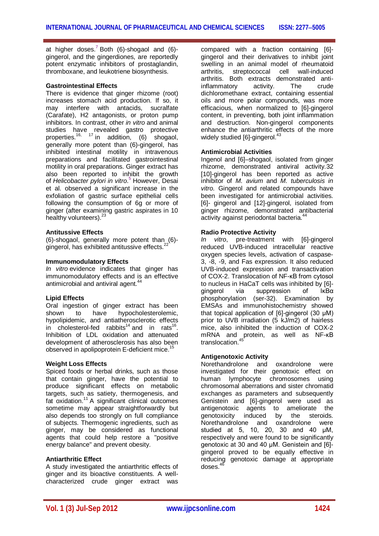at higher doses.<sup>7</sup> Both (6)-shogaol and (6)gingerol, and the gingerdiones, are reportedly potent enzymatic inhibitors of prostaglandin, thromboxane, and leukotriene biosynthesis.

#### **Gastrointestinal Effects**

There is evidence that ginger rhizome (root) increases stomach acid production. If so, it may interfere with antacids, sucralfate (Carafate), H2 antagonists, or proton pump inhibitors. In contrast, other *in vitro* and animal studies have revealed gastro protective properties.<sup>16, 17</sup> in addition,  $(6)$  shogaol, generally more potent than (6)-gingerol, has inhibited intestinal motility in intravenous preparations and facilitated gastrointestinal motility in oral preparations. Ginger extract has also been reported to inhibit the growth of *Helicobacter pylori in vitro*. <sup>5</sup> However, Desai et al. observed a significant increase in the exfoliation of gastric surface epithelial cells following the consumption of 6g or more of ginger (after examining gastric aspirates in 10 healthy volunteers).<sup>23</sup>

## **Antitussive Effects**

(6)-shogaol, generally more potent than (6) gingerol, has exhibited antitussive effects.<sup>2</sup>

## **Immunomodulatory Effects**

*In vitro* evidence indicates that ginger has immunomodulatory effects and is an effective antimicrobial and antiviral agent.<sup>4</sup>

#### **Lipid Effects**

Oral ingestion of ginger extract has been<br>shown to have hypocholesterolemic. shown to have hypocholesterolemic. hypolipidemic, and antiatherosclerotic effects in cholesterol-fed rabbits<sup>14</sup> and in rats<sup>16</sup> . Inhibition of LDL oxidation and attenuated development of atherosclerosis has also been observed in apolipoprotein E-deficient mice.<sup>15</sup>

#### **Weight Loss Effects**

Spiced foods or herbal drinks, such as those that contain ginger, have the potential to produce significant effects on metabolic targets, such as satiety, thermogenesis, and fat oxidation.<sup>11</sup> A significant clinical outcomes sometime may appear straightforwardly but also depends too strongly on full compliance of subjects. Thermogenic ingredients, such as ginger, may be considered as functional agents that could help restore a "positive energy balance" and prevent obesity.

#### **Antiarthritic Effect**

A study investigated the antiarthritic effects of ginger and its bioactive constituents. A wellcharacterized crude ginger extract was compared with a fraction containing [6] gingerol and their derivatives to inhibit joint swelling in an animal model of rheumatoid arthritis, streptococcal cell wall-induced arthritis. Both extracts demonstrated antiinflammatory activity. The crude dichloromethane extract, containing essential oils and more polar compounds, was more efficacious, when normalized to [6]-gingerol content, in preventing, both joint inflammation and destruction. Non-gingerol components enhance the antiarthritic effects of the more widely studied [6]-gingerol.<sup>43</sup>

#### **Antimicrobial Activities**

Ingenol and [6]–shogaol, isolated from ginger rhizome, demonstrated antiviral activity*.*32 [10]-gingerol has been reported as active inhibitor of *M. avium* and *M. tuberculosis in vitro.* Gingerol and related compounds have been investigated for antimicrobial activities. [6]- gingerol and [12]-gingerol, isolated from ginger rhizome, demonstrated antibacterial activity against periodontal bacteria.<sup>44</sup>

## **Radio Protective Activity**

*In vitro*, pre-treatment with [6]-gingerol reduced UVB-induced intracellular reactive oxygen species levels, activation of caspase-3, -8, -9, and Fas expression. It also reduced UVB-induced expression and transactivation of COX-2. Translocation of NF-κB from cytosol to nucleus in HaCaT cells was inhibited by [6] gingerol via suppression of IκBα phosphorylation (ser-32). Examination by EMSAs and immunohistochemistry showed that topical application of [6]-gingerol (30 μM) prior to UVB irradiation (5 kJ/m2) of hairless mice, also inhibited the induction of COX-2 mRNA and protein, as well as NF-κB translocation.<sup>45</sup>

## **Antigenotoxic Activity**

Norethandrolone and oxandrolone were investigated for their genotoxic effect on human lymphocyte chromosomes using chromosomal aberrations and sister chromatid exchanges as parameters and subsequently Genistein and [6]-gingerol were used as antigenotoxic agents to ameliorate the genotoxicity induced by the steroids. Norethandrolone and oxandrolone were studied at 5, 10, 20, 30 and 40 μM, respectively and were found to be significantly genotoxic at 30 and 40 μM. Genistein and [6] gingerol proved to be equally effective in reducing genotoxic damage at appropriate  $d$ oses. $46$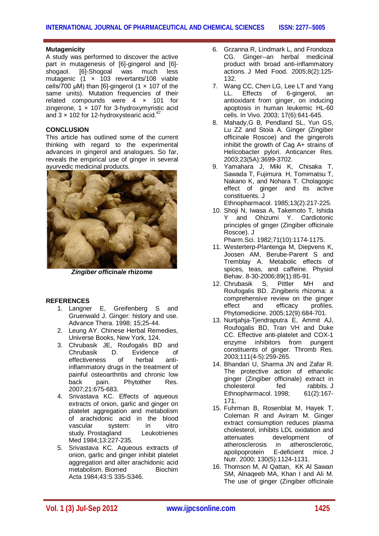#### **Mutagenicity**

A study was performed to discover the active part in mutagenesis of [6]-gingerol and [6] shogaol. [6]-Shogoal was much less mutagenic (1 × 103 revertants/108 viable cells/700  $\mu$ M) than [6]-gingerol (1  $\times$  107 of the same units). Mutation frequencies of their related compounds were 4 × 101 for zingerone,  $1 \times 107$  for 3-hydroxymyristic acid and  $3 \times 102$  for 12-hydroxystearic acid.<sup>47</sup>

#### **CONCLUSION**

This article has outlined some of the current thinking with regard to the experimental advances in gingerol and analogues. So far, reveals the empirical use of ginger in several ayurvedic medicinal products.



*Zingiber officinale* **rhizome**

#### **REFERENCES**

- 1. Langner E, Greifenberg S and Gruenwald J. Ginger: history and use. Advance Thera. 1998; 15;25-44.
- 2. Leung AY. Chinese Herbal Remedies, Universe Books, New York, 124.
- 3. Chrubasik JE, Roufogalis BD and<br>Chrubasik D. Evidence of Evidence<br>herbal effectiveness of herbal antiinflammatory drugs in the treatment of painful osteoarthritis and chronic low back pain. Phytother Res. 2007;21:675-683.
- 4. Srivastava KC. Effects of aqueous extracts of onion, garlic and ginger on platelet aggregation and metabolism of arachidonic acid in the blood vascular system: in vitro study. Prostagland Leukotrienes Med 1984;13:227-235.
- 5. Srivastava KC. Aqueous extracts of onion, garlic and ginger inhibit platelet aggregation and alter arachidonic acid metabolism. Biomed Biochim Acta 1984;43:S 335-S346.
- 6. Grzanna R, Lindmark L, and Frondoza CG. Ginger--an herbal medicinal product with broad anti-inflammatory actions. J Med Food. 2005;8(2):125- 132.
- 7. Wang CC, Chen LG, Lee LT and Yang<br>LL. Effects of 6-gingerol. an Effects of 6-gingerol, antioxidant from ginger, on inducing apoptosis in human leukemic HL-60 cells. In Vivo. 2003; 17(6):641-645.
- 8. Mahady,G B, Pendland SL, Yun GS, Lu ZZ and Stoia A. Ginger (Zingiber officinale Roscoe) and the gingerols inhibit the growth of Cag A+ strains of Helicobacter pylori. Anticancer Res. 2003;23(5A):3699-3702.
- 9. Yamahara J, Miki K, Chisaka T, Sawada T, Fujimura H, Tomimatsu T, Nakano K, and Nohara T. Cholagogic effect of ginger and its active constituents. J

Ethnopharmacol. 1985;13(2):217-225.

10. Shoji N, Iwasa A, Takemoto T, Ishida Y and Ohizumi Y. Cardiotonic principles of ginger (Zingiber officinale Roscoe). J

Pharm.Sci. 1982;71(10):1174-1175.

- 11. Westerterp-Plantenga M, Diepvens K, Joosen AM, Berube-Parent S and Tremblay A. Metabolic effects of spices, teas, and caffeine. Physiol Behav. 8-30-2006;89(1):85-91.
- 12. Chrubasik S, Pittler MH and Roufogalis BD. Zingiberis rhizoma: a comprehensive review on the ginger effect and efficacy profiles. Phytomedicine. 2005;12(9):684-701.
- 13. Nurtjahja-Tjendraputra E, Ammit AJ, Roufogalis BD, Tran VH and Duke CC. Effective anti-platelet and COX-1 enzyme inhibitors from pungent constituents of ginger. Thromb Res. 2003;111(4-5):259-265.
- 14. Bhandari U, Sharma JN and Zafar R. The protective action of ethanolic ginger (Zingiber officinale) extract in cholesterol fed rabbits. J Ethnopharmacol. 1998; 61(2):167- 171.
- 15. Fuhrman B, Rosenblat M, Hayek T, Coleman R and Aviram M. Ginger extract consumption reduces plasma cholesterol, inhibits LDL oxidation and attenuates development of<br>atherosclerosis in atherosclerotic. atherosclerosis in apolipoprotein E-deficient mice. J Nutr. 2000; 130(5):1124-1131.
- 16. Thomson M, Al Qattan, KK Al Sawan SM, Alnaqeeb MA, Khan I and Ali M. The use of ginger (Zingiber officinale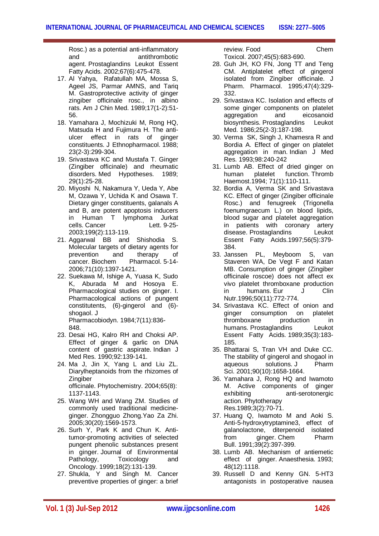Rosc.) as a potential anti-inflammatory and antithrombotic agent. Prostaglandins Leukot Essent Fatty Acids. 2002;67(6):475-478.

- 17. Al Yahya, Rafatullah MA, Mossa S, Ageel JS, Parmar AMNS, and Tariq M. Gastroprotective activity of ginger zingiber officinale rosc., in albino rats. Am J Chin Med. 1989;17(1-2):51- 56.
- 18. Yamahara J, Mochizuki M, Rong HQ, Matsuda H and Fujimura H. The antiulcer effect in rats of ginger constituents. J Ethnopharmacol. 1988; 23(2-3):299-304.
- 19. Srivastava KC and Mustafa T. Ginger (Zingiber officinale) and rheumatic disorders. Med Hypotheses. 1989; 29(1):25-28.
- 20. Miyoshi N, Nakamura Y, Ueda Y, Abe M, Ozawa Y, Uchida K and Osawa T. Dietary ginger constituents, galanals A and B, are potent apoptosis inducers in Human T lymphoma Jurkat cells. Cancer Lett. 9-25-2003;199(2):113-119.
- 21. Aggarwal BB and Shishodia S. Molecular targets of dietary agents for<br>prevention and therapy of prevention and therapy of<br>cancer. Biochem Pharmacol. 5-14-Pharmacol. 5-14-2006;71(10):1397-1421.
- 22. Suekawa M, Ishige A, Yuasa K, Sudo K, Aburada M and Hosoya E. Pharmacological studies on ginger. I. Pharmacological actions of pungent constitutents, (6)-gingerol and (6) shogaol. J Pharmacobiodyn. 1984;7(11):836-
- 848. 23. Desai HG, Kalro RH and Choksi AP. Effect of ginger & garlic on DNA content of gastric aspirate. Indian J Med Res. 1990;92:139-141.
- 24. Ma J, Jin X, Yang L and Liu ZL. Diarylheptanoids from the rhizomes of **Zingiber** officinale. Phytochemistry. 2004;65(8): 1137-1143.
- 25. Wang WH and Wang ZM. Studies of commonly used traditional medicineginger. Zhongguo Zhong.Yao Za Zhi. 2005;30(20):1569-1573.
- 26. Surh Y, Park K and Chun K. Antitumor-promoting activities of selected pungent phenolic substances present in ginger. Journal of Environmental Pathology, Toxicology and Oncology. 1999;18(2):131-139.
- 27. Shukla, Y and Singh M. Cancer preventive properties of ginger: a brief

review. Food Chem Toxicol. 2007;45(5):683-690.

- 28. Guh JH, KO FN, Jong TT and Teng CM. Antiplatelet effect of gingerol isolated from Zingiber officinale. J Pharm. Pharmacol. 1995;47(4):329- 332.
- 29. Srivastava KC. Isolation and effects of some ginger components on platelet aggregation and eicosanoid biosynthesis. Prostaglandins Leukot Med. 1986;25(2-3):187-198.
- 30. Verma SK, Singh J, Khamesra R and Bordia A. Effect of ginger on platelet aggregation in man. Indian J Med Res. 1993;98:240-242
- 31. Lumb AB. Effect of dried ginger on human platelet function. Thromb Haemost.1994; 71(1):110-111.
- 32. Bordia A, Verma SK and Srivastava KC. Effect of ginger (Zingiber officinale Rosc.) and fenugreek (Trigonella foenumgraecum L.) on blood lipids, blood sugar and platelet aggregation in patients with coronary artery disease. Prostaglandins Leukot Essent Fatty Acids.1997;56(5):379- 384.
- 33. Janssen PL, Meyboom S, van Staveren WA, De Vegt F and Katan MB. Consumption of ginger (Zingiber officinale roscoe) does not affect ex vivo platelet thromboxane production in humans. Eur J Clin Nutr.1996;50(11):772-774.
- 34. Srivastava KC. Effect of onion and ginger consumption on platelet<br>thromboxane production in thromboxane production in humans. Prostaglandins Leukot Essent Fatty Acids. 1989;35(3):183- 185.
- 35. Bhattarai S, Tran VH and Duke CC. The stability of gingerol and shogaol in aqueous solutions. J Pharm Sci. 2001;90(10):1658-1664.
- 36. Yamahara J, Rong HQ and Iwamoto M. Active components of ginger exhibiting anti-serotonergic action. Phytotherapy Res.1989;3(2):70-71.
- 37. Huang Q, Iwamoto M and Aoki S. Anti-5-hydroxytryptamine3, effect of galanolactone, diterpenoid isolated from ginger. Chem Pharm Bull. 1991;39(2):397-399.
- 38. Lumb AB. Mechanism of antiemetic effect of ginger. Anaesthesia. 1993; 48(12):1118.
- 39. Russell D and Kenny GN. 5-HT3 antagonists in postoperative nausea